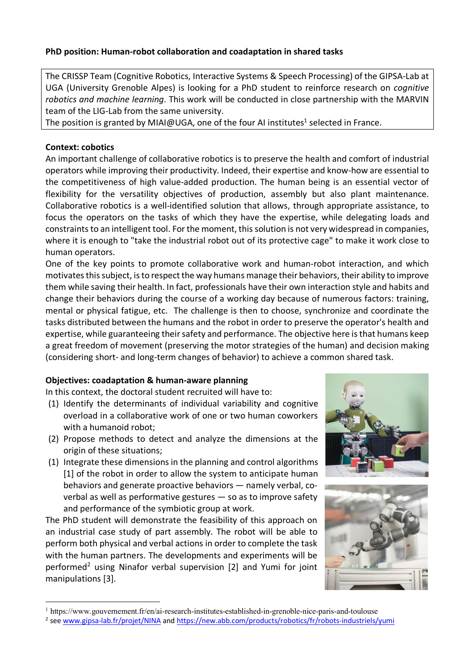### **PhD position: Human-robot collaboration and coadaptation in shared tasks**

The CRISSP Team (Cognitive Robotics, Interactive Systems & Speech Processing) of the GIPSA-Lab at UGA (University Grenoble Alpes) is looking for a PhD student to reinforce research on *cognitive robotics and machine learning*. This work will be conducted in close partnership with the MARVIN team of the LIG-Lab from the same university.

The position is granted by MIAI@UGA, one of the four AI institutes<sup>1</sup> selected in France.

### **Context: cobotics**

An important challenge of collaborative robotics is to preserve the health and comfort of industrial operators while improving their productivity. Indeed, their expertise and know-how are essential to the competitiveness of high value-added production. The human being is an essential vector of flexibility for the versatility objectives of production, assembly but also plant maintenance. Collaborative robotics is a well-identified solution that allows, through appropriate assistance, to focus the operators on the tasks of which they have the expertise, while delegating loads and constraints to an intelligent tool. For the moment, this solution is not very widespread in companies, where it is enough to "take the industrial robot out of its protective cage" to make it work close to human operators.

One of the key points to promote collaborative work and human-robot interaction, and which motivates this subject, is to respect the way humans manage their behaviors, their ability to improve them while saving their health. In fact, professionals have their own interaction style and habits and change their behaviors during the course of a working day because of numerous factors: training, mental or physical fatigue, etc. The challenge is then to choose, synchronize and coordinate the tasks distributed between the humans and the robot in order to preserve the operator's health and expertise, while guaranteeing their safety and performance. The objective here is that humans keep a great freedom of movement (preserving the motor strategies of the human) and decision making (considering short- and long-term changes of behavior) to achieve a common shared task.

# **Objectives: coadaptation & human-aware planning**

In this context, the doctoral student recruited will have to:

- (1) Identify the determinants of individual variability and cognitive overload in a collaborative work of one or two human coworkers with a humanoid robot;
- (2) Propose methods to detect and analyze the dimensions at the origin of these situations;
- (1) Integrate these dimensions in the planning and control algorithms [1] of the robot in order to allow the system to anticipate human behaviors and generate proactive behaviors — namely verbal, coverbal as well as performative gestures — so as to improve safety and performance of the symbiotic group at work.

The PhD student will demonstrate the feasibility of this approach on an industrial case study of part assembly. The robot will be able to perform both physical and verbal actions in order to complete the task with the human partners. The developments and experiments will be performed<sup>2</sup> using Ninafor verbal supervision  $[2]$  and Yumi for joint manipulations [3].





 <sup>1</sup> https://www.gouvernement.fr/en/ai-research-institutes-established-in-grenoble-nice-paris-and-toulouse

<sup>&</sup>lt;sup>2</sup> see www.gipsa-lab.fr/projet/NINA and https://new.abb.com/products/robotics/fr/robots-industriels/yumi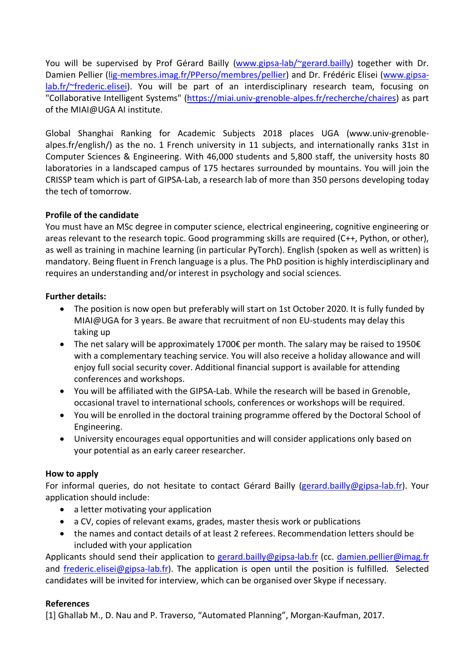You will be supervised by Prof Gérard Bailly (www.gipsa-lab/~gerard.bailly) together with Dr. Damien Pellier (lig-membres.imag.fr/PPerso/membres/pellier) and Dr. Frédéric Elisei (www.gipsalab.fr/~frederic.elisei). You will be part of an interdisciplinary research team, focusing on "Collaborative Intelligent Systems" (https://miai.univ-grenoble-alpes.fr/recherche/chaires) as part of the MIAI@UGA AI institute.

Global Shanghai Ranking for Academic Subjects 2018 places UGA (www.univ-grenoblealpes.fr/english/) as the no. 1 French university in 11 subjects, and internationally ranks 31st in Computer Sciences & Engineering. With 46,000 students and 5,800 staff, the university hosts 80 laboratories in a landscaped campus of 175 hectares surrounded by mountains. You will join the CRISSP team which is part of GIPSA-Lab, a research lab of more than 350 persons developing today the tech of tomorrow.

## **Profile of the candidate**

You must have an MSc degree in computer science, electrical engineering, cognitive engineering or areas relevant to the research topic. Good programming skills are required (C++, Python, or other), as well as training in machine learning (in particular PyTorch). English (spoken as well as written) is mandatory. Being fluent in French language is a plus. The PhD position is highly interdisciplinary and requires an understanding and/or interest in psychology and social sciences.

### **Further details:**

- The position is now open but preferably will start on 1st October 2020. It is fully funded by MIAI@UGA for 3 years. Be aware that recruitment of non EU-students may delay this taking up
- The net salary will be approximately 1700€ per month. The salary may be raised to 1950€ with a complementary teaching service. You will also receive a holiday allowance and will enjoy full social security cover. Additional financial support is available for attending conferences and workshops.
- You will be affiliated with the GIPSA-Lab. While the research will be based in Grenoble, occasional travel to international schools, conferences or workshops will be required.
- You will be enrolled in the doctoral training programme offered by the Doctoral School of Engineering.
- University encourages equal opportunities and will consider applications only based on your potential as an early career researcher.

### **How to apply**

For informal queries, do not hesitate to contact Gérard Bailly (gerard.bailly@gipsa-lab.fr). Your application should include:

- a letter motivating your application
- a CV, copies of relevant exams, grades, master thesis work or publications
- the names and contact details of at least 2 referees. Recommendation letters should be included with your application

Applicants should send their application to gerard.bailly@gipsa-lab.fr (cc. damien.pellier@imag.fr and frederic.elisei@gipsa-lab.fr). The application is open until the position is fulfilled. Selected candidates will be invited for interview, which can be organised over Skype if necessary.

### **References**

[1] Ghallab M., D. Nau and P. Traverso, "Automated Planning", Morgan-Kaufman, 2017.